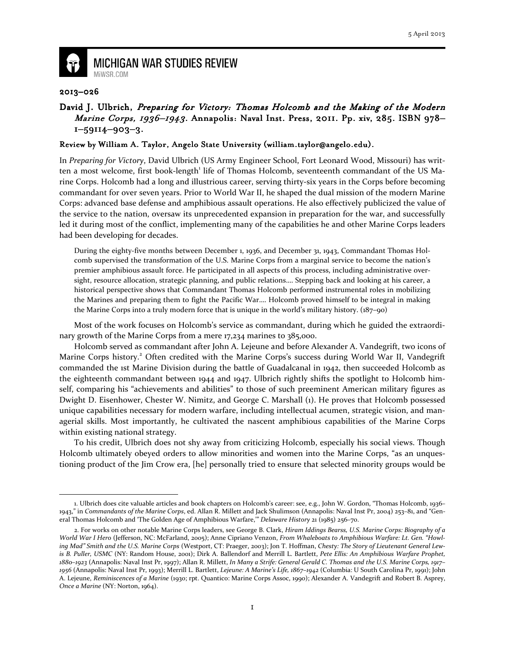

## **MICHIGAN WAR STUDIES REVIEW** MiWSR.COM

## 2013–026

 $\overline{a}$ 

## David J. Ulbrich, Preparing for Victory: Thomas Holcomb and the Making of the Modern Marine Corps, 1936–1943. Annapolis: Naval Inst. Press, 2011. Pp. xiv, 285. ISBN 978-1–59114–903–3.

## Review by William A. Taylor, Angelo State University (william.taylor@angelo.edu).

In Preparing for Victory, David Ulbrich (US Army Engineer School, Fort Leonard Wood, Missouri) has written a most welcome, first book-length<sup>1</sup> life of Thomas Holcomb, seventeenth commandant of the US Marine Corps. Holcomb had a long and illustrious career, serving thirty-six years in the Corps before becoming commandant for over seven years. Prior to World War II, he shaped the dual mission of the modern Marine Corps: advanced base defense and amphibious assault operations. He also effectively publicized the value of the service to the nation, oversaw its unprecedented expansion in preparation for the war, and successfully led it during most of the conflict, implementing many of the capabilities he and other Marine Corps leaders had been developing for decades.

During the eighty-five months between December 1, 1936, and December 31, 1943, Commandant Thomas Holcomb supervised the transformation of the U.S. Marine Corps from a marginal service to become the nation's premier amphibious assault force. He participated in all aspects of this process, including administrative oversight, resource allocation, strategic planning, and public relations…. Stepping back and looking at his career, a historical perspective shows that Commandant Thomas Holcomb performed instrumental roles in mobilizing the Marines and preparing them to fight the Pacific War…. Holcomb proved himself to be integral in making the Marine Corps into a truly modern force that is unique in the world's military history. (187–90)

Most of the work focuses on Holcomb's service as commandant, during which he guided the extraordinary growth of the Marine Corps from a mere 17,234 marines to 385,000.

Holcomb served as commandant after John A. Lejeune and before Alexander A. Vandegrift, two icons of Marine Corps history.<sup>2</sup> Often credited with the Marine Corps's success during World War II, Vandegrift commanded the 1st Marine Division during the battle of Guadalcanal in 1942, then succeeded Holcomb as the eighteenth commandant between 1944 and 1947. Ulbrich rightly shifts the spotlight to Holcomb himself, comparing his "achievements and abilities" to those of such preeminent American military figures as Dwight D. Eisenhower, Chester W. Nimitz, and George C. Marshall (1). He proves that Holcomb possessed unique capabilities necessary for modern warfare, including intellectual acumen, strategic vision, and managerial skills. Most importantly, he cultivated the nascent amphibious capabilities of the Marine Corps within existing national strategy.

To his credit, Ulbrich does not shy away from criticizing Holcomb, especially his social views. Though Holcomb ultimately obeyed orders to allow minorities and women into the Marine Corps, "as an unquestioning product of the Jim Crow era, [he] personally tried to ensure that selected minority groups would be

<sup>1.</sup> Ulbrich does cite valuable articles and book chapters on Holcomb's career: see, e.g., John W. Gordon, "Thomas Holcomb, 1936– 1943," in Commandants of the Marine Corps, ed. Allan R. Millett and Jack Shulimson (Annapolis: Naval Inst Pr, 2004) 253-81, and "General Thomas Holcomb and 'The Golden Age of Amphibious Warfare,'" Delaware History 21 (1985) 256–70.

<sup>2.</sup> For works on other notable Marine Corps leaders, see George B. Clark, Hiram Iddings Bearss, U.S. Marine Corps: Biography of a World War I Hero (Jefferson, NC: McFarland, 2005); Anne Cipriano Venzon, From Whaleboats to Amphibious Warfare: Lt. Gen. "Howling Mad" Smith and the U.S. Marine Corps (Westport, CT: Praeger, 2003); Jon T. Hoffman, Chesty: The Story of Lieutenant General Lewis B. Puller, USMC (NY: Random House, 2001); Dirk A. Ballendorf and Merrill L. Bartlett, Pete Ellis: An Amphibious Warfare Prophet, 1880–1923 (Annapolis: Naval Inst Pr, 1997); Allan R. Millett, In Many a Strife: General Gerald C. Thomas and the U.S. Marine Corps, 1917– 1956 (Annapolis: Naval Inst Pr, 1993); Merrill L. Bartlett, Lejeune: A Marine's Life, 1867-1942 (Columbia: U South Carolina Pr, 1991); John A. Lejeune, Reminiscences of a Marine (1930; rpt. Quantico: Marine Corps Assoc, 1990); Alexander A. Vandegrift and Robert B. Asprey, Once a Marine (NY: Norton, 1964).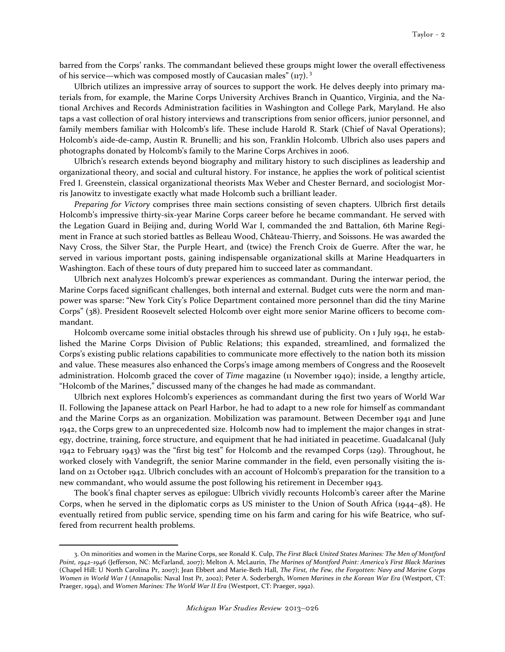barred from the Corps' ranks. The commandant believed these groups might lower the overall effectiveness of his service—which was composed mostly of Caucasian males"  $(\mu z)^3$ 

Ulbrich utilizes an impressive array of sources to support the work. He delves deeply into primary materials from, for example, the Marine Corps University Archives Branch in Quantico, Virginia, and the National Archives and Records Administration facilities in Washington and College Park, Maryland. He also taps a vast collection of oral history interviews and transcriptions from senior officers, junior personnel, and family members familiar with Holcomb's life. These include Harold R. Stark (Chief of Naval Operations); Holcomb's aide-de-camp, Austin R. Brunelli; and his son, Franklin Holcomb. Ulbrich also uses papers and photographs donated by Holcomb's family to the Marine Corps Archives in 2006.

 Ulbrich's research extends beyond biography and military history to such disciplines as leadership and organizational theory, and social and cultural history. For instance, he applies the work of political scientist Fred I. Greenstein, classical organizational theorists Max Weber and Chester Bernard, and sociologist Morris Janowitz to investigate exactly what made Holcomb such a brilliant leader.

Preparing for Victory comprises three main sections consisting of seven chapters. Ulbrich first details Holcomb's impressive thirty-six-year Marine Corps career before he became commandant. He served with the Legation Guard in Beijing and, during World War I, commanded the 2nd Battalion, 6th Marine Regiment in France at such storied battles as Belleau Wood, Château-Thierry, and Soissons. He was awarded the Navy Cross, the Silver Star, the Purple Heart, and (twice) the French Croix de Guerre. After the war, he served in various important posts, gaining indispensable organizational skills at Marine Headquarters in Washington. Each of these tours of duty prepared him to succeed later as commandant.

Ulbrich next analyzes Holcomb's prewar experiences as commandant. During the interwar period, the Marine Corps faced significant challenges, both internal and external. Budget cuts were the norm and manpower was sparse: "New York City's Police Department contained more personnel than did the tiny Marine Corps" (38). President Roosevelt selected Holcomb over eight more senior Marine officers to become commandant.

Holcomb overcame some initial obstacles through his shrewd use of publicity. On 1 July 1941, he established the Marine Corps Division of Public Relations; this expanded, streamlined, and formalized the Corps's existing public relations capabilities to communicate more effectively to the nation both its mission and value. These measures also enhanced the Corps's image among members of Congress and the Roosevelt administration. Holcomb graced the cover of Time magazine (11 November 1940); inside, a lengthy article, "Holcomb of the Marines," discussed many of the changes he had made as commandant.

 Ulbrich next explores Holcomb's experiences as commandant during the first two years of World War II. Following the Japanese attack on Pearl Harbor, he had to adapt to a new role for himself as commandant and the Marine Corps as an organization. Mobilization was paramount. Between December 1941 and June 1942, the Corps grew to an unprecedented size. Holcomb now had to implement the major changes in strategy, doctrine, training, force structure, and equipment that he had initiated in peacetime. Guadalcanal (July 1942 to February 1943) was the "first big test" for Holcomb and the revamped Corps (129). Throughout, he worked closely with Vandegrift, the senior Marine commander in the field, even personally visiting the island on 21 October 1942. Ulbrich concludes with an account of Holcomb's preparation for the transition to a new commandant, who would assume the post following his retirement in December 1943.

The book's final chapter serves as epilogue: Ulbrich vividly recounts Holcomb's career after the Marine Corps, when he served in the diplomatic corps as US minister to the Union of South Africa (1944–48). He eventually retired from public service, spending time on his farm and caring for his wife Beatrice, who suffered from recurrent health problems.

 $\overline{\phantom{0}}$ 

<sup>3.</sup> On minorities and women in the Marine Corps, see Ronald K. Culp, The First Black United States Marines: The Men of Montford Point, 1942–1946 (Jefferson, NC: McFarland, 2007); Melton A. McLaurin, The Marines of Montford Point: America's First Black Marines (Chapel Hill: U North Carolina Pr, 2007); Jean Ebbert and Marie-Beth Hall, The First, the Few, the Forgotten: Navy and Marine Corps Women in World War I (Annapolis: Naval Inst Pr, 2002); Peter A. Soderbergh, Women Marines in the Korean War Era (Westport, CT: Praeger, 1994), and Women Marines: The World War II Era (Westport, CT: Praeger, 1992).